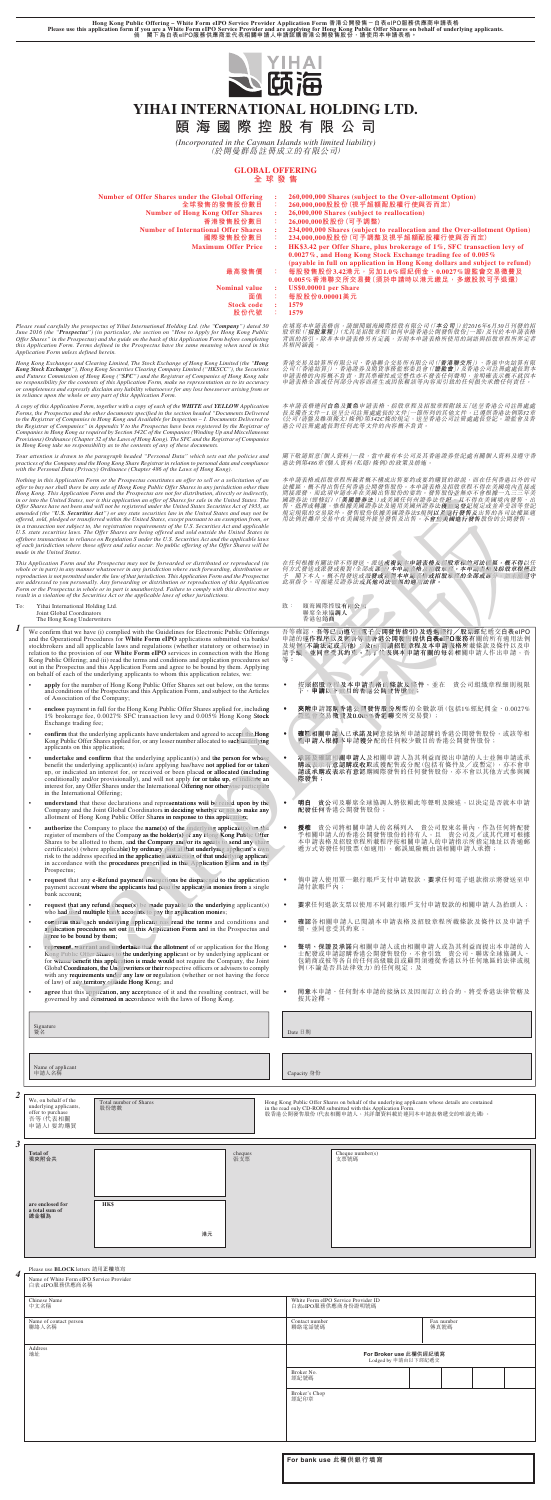- **apply** for the number of Hong Kong Public Offer Shares set out below, on the terms and conditions of the Prospectus and this Application Form, and subject to the Articles of Association of the Company;
- **enclose** payment in full for the Hong Kong Public Offer Shares applied for, including 1% brokerage fee, 0.0027% SFC transaction levy and 0.005% Hong Kong Stock Exchange trading fee;<br>
**confirm** that the underlying appl Exchange trading fee;
- **confirm** that the underlying applicants have undertaken and agreed to accept the Hong Kong Public Offer Shares applied for, or any lesser number allocated to such underlying applicants on this application;
- **undertake and confirm** that the underlying applicant(s) and the person for whose **undertake and confirm** that the underlying applicant(s) and the person for whose<br>benefit the underlying applicant(s) is/are applying has/have not applied for or taken<br>up, or indicated an interest for, or received or been conditionally and/or provisionally), and will not apply for or take up, or indicate an interest for, any Offer Shares under the International Offering nor otherwise participate in the International Offering; interest for, any Offer Shares under the International Offering nor otherwise participate<br>in the International Offering;<br>**understand** that these declarations and representations will be relied upon by the
- Company and the Joint Global Coordinators in deciding whether or not to make any allotment of Hong Kong Public Offer Shares in response to this application;
- 

*1* We confirm that we have (i) complied with the Guidelines for Electronic Public Offerings and the Operational Procedures for **White Form eIPO** applications submitted via banks/ stockbrokers and all applicable laws and regulations (whether statutory or otherwise) in relation to the provision of our **White Form eIPO** services in connection with the Hong Kong Public Offering; and (ii) read the terms and conditions and application procedures set out in the Prospectus and this Application Form and agree to be bound by them. Applying on behalf of each of the underlying applicants to whom this application relates, we:

| Number of Offer Shares under the Global Offering                          | 260,000,000 Shares (subject to the Over-allotment Option)                   |
|---------------------------------------------------------------------------|-----------------------------------------------------------------------------|
| 全球發售的發售股份數目                                                               | 260,000,000股股份(視乎超額配股權行使與否而定)                                               |
| <b>Number of Hong Kong Offer Shares</b>                                   | 26,000,000 Shares (subject to reallocation)                                 |
| 香港發售股份數目                                                                  | 26,000,000股股份(可予調整)                                                         |
| <b>Number of International Offer Shares</b>                               | 234,000,000 Shares (subject to reallocation and the Over-allotment Option)  |
| 國際發售股份數目                                                                  | 234,000,000股股份(可予調整及視乎超額配股權行使與否而定)                                          |
| <b>Maximum Offer Price</b>                                                | HK\$3.42 per Offer Share, plus brokerage of 1%, SFC transaction levy of     |
|                                                                           | 0.0027%, and Hong Kong Stock Exchange trading fee of 0.005%                 |
|                                                                           | (payable in full on application in Hong Kong dollars and subject to refund) |
| 最高發售價                                                                     | 每 股 發 售 股 份 3.42港 元 , 另 加 1.0 % 經 紀 佣 金 、 0.0027 % 證 監 會 交 易 徵 費 及          |
|                                                                           | $0.005\%$ 香港聯交所交易費(須於申請時以港元繳足,多繳股款可予退還)                                     |
| Nominal value                                                             | US\$0.00001 per Share                                                       |
| 面值                                                                        | 每股股份0.00001美元                                                               |
| <b>Stock code</b>                                                         | 1579                                                                        |
| 股份代號                                                                      | 1579                                                                        |
| ospectus of Yihai International Holding Ltd. (the "Company") dated 30     | 在填寫本申請表格前,請細閱頤海國際控股有限公司(「本公司」)於2016年6月30日刊發的招                               |
| ") (in particular, the section on "How to Apply for Hong Kong Public      | 股章程(「招股章程」)(尤其是招股章程「如何申請香港公開發售股份」一節)及刊於本申請表格                                |
| tus) and the guide on the back of this Application Form before completing | 背面的指引。除非本申請表格另有定義,否則本申請表格所使用的詞語與招股章程所界定者                                    |
| ns defined in the Prospectus have the same meaning when used in this      | 具相同涵義。                                                                      |

香港交易及結算所有限公司、香港聯合交易所有限公司(「**香港聯交所**」)、香港中央結算有限<br>公司(「香港結算」)、香港證券及期貨事務監察委員會(I**證監會**」)及香港公司註冊處處長對本<br>申請表格公部或任何部分內容而產生或因依賴該等內容而引致的任何損失承擔任何責任。

Please read carefully the prospectus of Yihai International Holding Ltd. (the "**Company**") dated 30<br>June 2016 (the "P**rospectus**") (in particular, the section on "How to Apply for Hong Kong Public<br>Offer Shares" in the Pros *this Application Form. Terms defined in the Prospectus have the same meaning when used in this Application Form unless defined herein.*

Hong Kong Exchanges and Clearing Limited, The Stock Exchange of Hong Kong Limited (the "**Hong**<br>**Kong Stock Exchange**"), Hong Kong Securities Clearing Company Limited ("HKSCC"), the Securities<br>and Futures Commission of Hong *in reliance upon the whole or any part of this Application Form.*

A copy of this Application Form, together with a copy of each of the **WHITE** and **YELLOW** Application<br>Forms, the Prospectus and the other documents specified in the section headed "Documents Delivered to<br>to the Registrar o *in Hong Kong take no responsibility as to the contents of any of these documents.*

Your attention is drawn to the paragraph headed "Personal Data" which sets out the policies and<br>practices of the Company and the Hong Kong Share Registrar in relation to personal data and compliance<br>with the Personal Data

Hong Kong Public Offering – White Form eIPO Service Provider Application Form 香港公開發售-白表eIPO服務供應商申請表格<br>Please use this application form if you are a White Form eIPO Service Provider and are applying for Hong Kong Public Of



# **YIHAI INTERNATIONAL HOLDING LTD.**

**頤海國際控股有限公司**

*(Incorporated in the Cayman Islands with limited liability)* (於開曼群島註冊成立的有限公司)

# **GLOBAL OFFERING**

**全球發售**

本申請表格連同**白色**及**黃色**申請表格、招股章程及招股章程附錄五「送呈香港公司註冊處處<br>長及備查文件-1.送呈公司註冊處處長的文件」一節所列的其他文件,已遵照香港法例第32章<br>《公司(清盤及雜項條文)條例》第342C條的規定,送呈香港公司註冊處處長登記。證監會及香 港公司註冊處處長對任何此等文件的內容概不負責。

閣下敬請留意「個人資料」一段,當中載有本公司及其香港證券登記處有關個人資料及遵守香<br>港法例第486章《個人資料(私隱)條例》的政策及措施。

本申請表格或招股章程所載者概不構成出售要約或要約購買的游説,而在任何香港以外的司法、概要的有限度得有限行為者公開發售股份。本申請表格及招股重要不得在美國境內直至接受,而此項申請亦非在美國出售股份的要約。發售股份並無亦不會根據一九三三年美<br>周證券法(經修訂)(「**美國證券法**公國出售股份的要約。發售股份並無亦不會根據一九三三年美國局<br>國證券法(經修訂)(「**美國證券**法及適用美國州證券法登記一旦不得在美國境內發售、出<br>規定規模的公易除外。發

在任何根據有關法律不得發送、派送或複製本申請表格及招股章程的司法權區,概不得以任<br>何方式發送或派發或複製(全部或部分)本申請表格及招股章程。本申請表格及招股章程僅致<br>予 閣下本人。概不得發送或派其他司法權區的適用法律。<br>此項指令,可能違反證券法或其他司法權區的適用法律。 送、派送或複製本申請表格及招股章程的司法權區,概不得以任<br>或派或部分)本申請表格及招股章程。本申請表格及招股章程僅致<br>或派發或資理不申請表格<br>或其他司法權區的適用法律。

致: 頤海國際控股有限公司<br>聯席全球協調人<br>香港包銷商

吾等確認,吾等已(i)遵守《電子公開發售指引》及透過銀行/股票經紀遞交白表eIPO<br>申請的運作程序以及與吾等就香港公開發情提供**白表ei**PO服務有關的所有適用法例<br>及規例(不論法定或其他);及行同議招股章程及本申請表格所載條款及條件以及申<br>請手續、並同意受其約束。為了代表與本申請有關的每名相關申請人作出申請,吾 樣版份並 登記,且 法獲豁免登記 例以及進行發售及 不會於美國進行發售股 會於美 : 頤海國際控股有限公司<br>聯商全球協調人<br>華席全國新國人<br>著確認, 吾等已(1)遵守《電子公開發售指引》及透過銀行/股票經紀<br>請脫作程序以及與自等就香港公開過程供**白表e-PO服務**有關的<br>規例(不論法定或其他);及的問讀招股章程及本申請表格所載條款<br>手編, 並同意受其約束。為了代表與本申請有關的每名相關申請人

- 按照招股章程及本申請表格的條款及條件,並在 貴公司組織章程細則規限 下,**申請**以下數目的香港公開發售股份;  $\bullet$ 下
- **夾附**申請認購香港公開發售股份所需的全數款項(包括1%經紀佣金、0.0027% 證監會交易徵費及0.005%香港聯交所交易費);
- **| 確認相關申請人已承諾及同**意接納所申請認購的香港公開發售股份,或該等相 關申請人根據本申請獲分配的任何較少數目的香港公開發售股份; 關申請人根據本申 關申請人根據本 請獲分配
- 承諾及確認相關申請人及相關申請人為其利益而提出申請的人士並無申請或承<br>◇ 購或表示有意認購或收取或獲配售或分配(包括有條件及/或暫定),亦不會申<br>◇ 請或承購或表示有意認購國際發售的任何發售股份,亦不會以其他方式參與國 際發售; 承諾及確認相關申請人及<br>購或表示有意認購或收取<br>請或承購或表示有意認購
- **明白** 貴公司及聯席全球協調人將依賴此等聲明及陳述,以決定是否就本申請 配發任何香港公開發售股份; 配發任何香
- **授**權 貴公司將相關申請人的名稱列入 貴公司股東名冊內,作為任何將配發<br>─ 予相關申請人的香港公開發售股份的持有人,且 貴公司及/或其代理可根據

| For bank use 此欄供銀行填寫 |  |  |  |  |
|----------------------|--|--|--|--|
|----------------------|--|--|--|--|

|           | Exchange trading fee;                                                                                                                                                                                                                                | enclose payment in full for the Hong Kong Public Offer Shares applied for, including<br>1% brokerage fee, 0.0027% SFC transaction levy and 0.005% Hong Kong Stock                                                                                                                                                                                                                                                                                                                                                                            |    |         |                                                     | 夾附申請認購香港公開發售股份所需的全數款項(包括1%經紀佣金、0.0027%<br>證監會交易徵費及0.005%香港聯交所交易費);                                                                                                                                            |  |                    |  |  |
|-----------|------------------------------------------------------------------------------------------------------------------------------------------------------------------------------------------------------------------------------------------------------|----------------------------------------------------------------------------------------------------------------------------------------------------------------------------------------------------------------------------------------------------------------------------------------------------------------------------------------------------------------------------------------------------------------------------------------------------------------------------------------------------------------------------------------------|----|---------|-----------------------------------------------------|---------------------------------------------------------------------------------------------------------------------------------------------------------------------------------------------------------------|--|--------------------|--|--|
| $\bullet$ | applicants on this application;                                                                                                                                                                                                                      | confirm that the underlying applicants have undertaken and agreed to accept the Hong<br>Kong Public Offer Shares applied for, or any lesser number allocated to such underlying                                                                                                                                                                                                                                                                                                                                                              |    |         | $\bullet$                                           | 確認相關申請人已承諾及同意接納所申請認購的香港公開發售股份,或該等相<br>關申請人根據本申請獲分配的任何較少數目的香港公開發售股份;                                                                                                                                           |  |                    |  |  |
|           | in the International Offering;                                                                                                                                                                                                                       | undertake and confirm that the underlying applicant( $s$ ) and the person for whose<br>benefit the underlying applicant(s) is/are applying has/have not applied for or taken<br>up, or indicated an interest for, or received or been placed or allocated (including<br>conditionally and/or provisionally), and will not apply for or take up, or indicate an<br>interest for, any Offer Shares under the International Offering nor otherwise participate                                                                                  |    |         | 際發售;                                                | 承諾及確認相關申請人及相關申請人為其利益而提出申請的人士並無申請或承<br>購或表示有意認購或收取或獲配售或分配(包括有條件及/或暫定),亦不會申<br>請或承購或表示有意認購國際發售的任何發售股份,亦不會以其他方式參與國                                                                                               |  |                    |  |  |
|           | understand that these declarations and representations will be relied upon by the<br>Company and the Joint Global Coordinators in deciding whether or not to make any<br>allotment of Hong Kong Public Offer Shares in response to this application; |                                                                                                                                                                                                                                                                                                                                                                                                                                                                                                                                              |    |         | 明白 貴公司及聯席全球協調人將依賴此等聲明及陳述,以決定是否就本申請<br>配發任何香港公開發售股份; |                                                                                                                                                                                                               |  |                    |  |  |
| $\bullet$ | Prospectus;                                                                                                                                                                                                                                          | <b>authorize</b> the Company to place the name(s) of the underlying applicant(s) on the<br>register of members of the Company as the holder(s) of any Hong Kong Public Offer<br>Shares to be allotted to them, and the Company and/or its agents to send any share<br>certificate(s) (where applicable) by ordinary post at that underlying applicant's own<br>risk to the address specified in the application instruction of that underlying applicant<br>in accordance with the procedures prescribed in this Application Form and in the |    |         | 授權                                                  | 貴公司將相關申請人的名稱列入 貴公司股東名冊內,作為任何將配發<br>予相關申請人的香港公開發售股份的持有人,且 貴公司及/或其代理可根據<br>本申請表格及招股章程所載程序按相關申請人的申請指示所指定地址以普通郵<br>遞方式寄發任何股票(如適用),郵誤風險概由該相關申請人承擔;                                                                 |  |                    |  |  |
|           | bank account;                                                                                                                                                                                                                                        | request that any e-Refund payment instructions be dispatched to the application<br>payment account where the applicants had paid the application monies from a single                                                                                                                                                                                                                                                                                                                                                                        |    |         | 請付款賬戶內;                                             | 倘申請人使用單一銀行賬戶支付申請股款,要求任何電子退款指示將發送至申                                                                                                                                                                            |  |                    |  |  |
|           |                                                                                                                                                                                                                                                      | <b>request that any refund cheque(s)</b> be made payable to the underlying applicant(s)<br>who had used multiple bank accounts to pay the application monies;                                                                                                                                                                                                                                                                                                                                                                                |    |         |                                                     | 要求任何退款支票以使用不同銀行賬戶支付申請股款的相關申請人為抬頭人;                                                                                                                                                                            |  |                    |  |  |
| $\bullet$ | agree to be bound by them;                                                                                                                                                                                                                           | confirm that each underlying applicant has read the terms and conditions and<br>application procedures set out in this Application Form and in the Prospectus and                                                                                                                                                                                                                                                                                                                                                                            |    |         | $\bullet$                                           | 確認各相關申請人已閱讀本申請表格及招股章程所載條款及條件以及申請手<br>續,並同意受其約束;                                                                                                                                                               |  |                    |  |  |
|           |                                                                                                                                                                                                                                                      | represent, warrant and undertake that the allotment of or application for the Hong<br>Kong Public Offer Shares to the underlying applicant or by underlying applicant or<br>for whose benefit this application is made would not require the Company, the Joint<br>Global Coordinators, the Underwriters or their respective officers or advisers to comply<br>with any requirements under any law or regulation (whether or not having the force<br>of law) of any territory outside Hong Kong; and                                         |    |         |                                                     | 聲明、保證及承諾向相關申請人或由相關申請人或為其利益而提出本申請的人<br>士配發或申請認購香港公開發售股份,不會引致 貴公司、聯席全球協調人、<br>包銷商或彼等各自的任何高級職員或顧問須遵從香港以外任何地區的法律或規<br>例 (不論是否具法律效力) 的任何規定;及                                                                       |  |                    |  |  |
|           |                                                                                                                                                                                                                                                      | agree that this application, any acceptance of it and the resulting contract, will be<br>governed by and construed in accordance with the laws of Hong Kong.                                                                                                                                                                                                                                                                                                                                                                                 |    |         | 按其詮釋。                                               | 同意本申請、任何對本申請的接納以及因而訂立的合約,將受香港法律管轄及                                                                                                                                                                            |  |                    |  |  |
|           | Signature<br>簽名                                                                                                                                                                                                                                      |                                                                                                                                                                                                                                                                                                                                                                                                                                                                                                                                              |    |         | Date 日期                                             |                                                                                                                                                                                                               |  |                    |  |  |
|           | Name of applicant<br>申請人名稱                                                                                                                                                                                                                           |                                                                                                                                                                                                                                                                                                                                                                                                                                                                                                                                              |    |         | Capacity 身份                                         |                                                                                                                                                                                                               |  |                    |  |  |
|           |                                                                                                                                                                                                                                                      |                                                                                                                                                                                                                                                                                                                                                                                                                                                                                                                                              |    |         |                                                     |                                                                                                                                                                                                               |  |                    |  |  |
|           | We, on behalf of the                                                                                                                                                                                                                                 |                                                                                                                                                                                                                                                                                                                                                                                                                                                                                                                                              |    |         |                                                     |                                                                                                                                                                                                               |  |                    |  |  |
|           | underlying applicants,<br>offer to purchase<br>吾等(代表相關<br>申請人) 要約購買                                                                                                                                                                                  | Total number of Shares<br>股份總數                                                                                                                                                                                                                                                                                                                                                                                                                                                                                                               |    |         |                                                     | Hong Kong Public Offer Shares on behalf of the underlying applicants whose details are contained<br>in the read only CD-ROM submitted with this Application Form.<br>股香港公開發售股份(代表相關申請人,其詳細資料載於連同本申請表格遞交的唯讀光碟) |  |                    |  |  |
|           | <b>Total of</b>                                                                                                                                                                                                                                      |                                                                                                                                                                                                                                                                                                                                                                                                                                                                                                                                              |    | cheques |                                                     | Cheque number(s)                                                                                                                                                                                              |  |                    |  |  |
|           | 現夾附合共                                                                                                                                                                                                                                                |                                                                                                                                                                                                                                                                                                                                                                                                                                                                                                                                              |    | 張支票     |                                                     | 支票號碼                                                                                                                                                                                                          |  |                    |  |  |
|           |                                                                                                                                                                                                                                                      |                                                                                                                                                                                                                                                                                                                                                                                                                                                                                                                                              |    |         |                                                     |                                                                                                                                                                                                               |  |                    |  |  |
|           | are enclosed for<br>a total sum of                                                                                                                                                                                                                   | <b>HK\$</b>                                                                                                                                                                                                                                                                                                                                                                                                                                                                                                                                  |    |         |                                                     |                                                                                                                                                                                                               |  |                    |  |  |
| 3         | 總金額為                                                                                                                                                                                                                                                 |                                                                                                                                                                                                                                                                                                                                                                                                                                                                                                                                              | 港元 |         |                                                     |                                                                                                                                                                                                               |  |                    |  |  |
|           |                                                                                                                                                                                                                                                      |                                                                                                                                                                                                                                                                                                                                                                                                                                                                                                                                              |    |         |                                                     |                                                                                                                                                                                                               |  |                    |  |  |
|           | Please use <b>BLOCK</b> letters 請用正楷填寫                                                                                                                                                                                                               |                                                                                                                                                                                                                                                                                                                                                                                                                                                                                                                                              |    |         |                                                     |                                                                                                                                                                                                               |  |                    |  |  |
|           | Name of White Form eIPO Service Provider<br>白表 eIPO服務供應商名稱                                                                                                                                                                                           |                                                                                                                                                                                                                                                                                                                                                                                                                                                                                                                                              |    |         |                                                     |                                                                                                                                                                                                               |  |                    |  |  |
|           | Chinese Name<br>中文名稱                                                                                                                                                                                                                                 |                                                                                                                                                                                                                                                                                                                                                                                                                                                                                                                                              |    |         |                                                     | White Form eIPO Service Provider ID<br>白表eIPO服務供應商身份證明號碼                                                                                                                                                      |  |                    |  |  |
|           | Name of contact person<br>聯絡人名稱                                                                                                                                                                                                                      |                                                                                                                                                                                                                                                                                                                                                                                                                                                                                                                                              |    |         | Contact number<br>聯絡電話號碼                            |                                                                                                                                                                                                               |  | Fax number<br>傳真號碼 |  |  |
|           | Address<br>地址                                                                                                                                                                                                                                        |                                                                                                                                                                                                                                                                                                                                                                                                                                                                                                                                              |    |         |                                                     | For Broker use 此欄供經紀填寫<br>Lodged by 申請由以下經紀遞交                                                                                                                                                                 |  |                    |  |  |
|           |                                                                                                                                                                                                                                                      |                                                                                                                                                                                                                                                                                                                                                                                                                                                                                                                                              |    |         | Broker No.<br>經紀號碼                                  |                                                                                                                                                                                                               |  |                    |  |  |
|           |                                                                                                                                                                                                                                                      |                                                                                                                                                                                                                                                                                                                                                                                                                                                                                                                                              |    |         | Broker's Chop<br>經紀印章                               |                                                                                                                                                                                                               |  |                    |  |  |
|           |                                                                                                                                                                                                                                                      |                                                                                                                                                                                                                                                                                                                                                                                                                                                                                                                                              |    |         |                                                     |                                                                                                                                                                                                               |  |                    |  |  |

*Nothing in this Application Form or the Prospectus constitutes an offer to sell or a solicitation of an* offer to buy nor shall there be any sale of Hong Kong Public Offer Shares in any jurisdiction other than<br>Hong Kong. This Application Form and the Prospectus are not for distribution, directly or indirectly,<br>in or into the Offer Shares have not been and will not be registered under the United States Securities Act of 1933, as<br>amended (the "U.S. **Securities Act**") or any state securities law in the United States and may not be<br>offered, sold, in a transaction not subject to, the registration requirements of the U.S. Securities Act and applicable<br>U.S. state securities laws. The Offer Shares are being offered and sold outside the United States in<br>offshore transac *of each jurisdiction where those offers and sales occur. No public offering of the Offer Shares will be made in the United States.*

*This Application Form and the Prospectus may not be forwarded or distributed or reproduced (in whole or in part) in any manner whatsoever in any jurisdiction where such forwarding, distribution or* reproduction is not permitted under the law of that jurisdiction. This Application Form and the Prospectus<br>are addressed to you personally. Any forwarding or distribution or reproduction of this Application<br>Form or the Pro *result in a violation of the Securities Act or the applicable laws of other jurisdictions.*

To: Yihai International Holding Ltd. Joint Global Coordinators The Hong Kong Underwriters